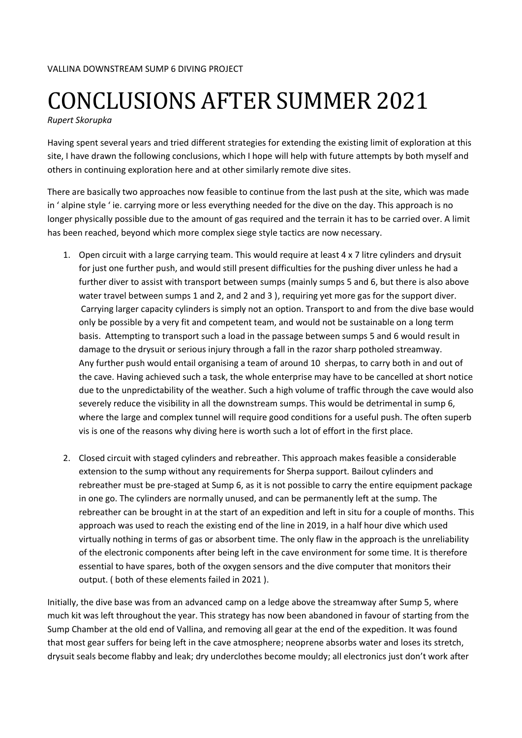## CONCLUSIONS AFTER SUMMER 2021

*Rupert Skorupka*

Having spent several years and tried different strategies for extending the existing limit of exploration at this site, I have drawn the following conclusions, which I hope will help with future attempts by both myself and others in continuing exploration here and at other similarly remote dive sites.

There are basically two approaches now feasible to continue from the last push at the site, which was made in ' alpine style ' ie. carrying more or less everything needed for the dive on the day. This approach is no longer physically possible due to the amount of gas required and the terrain it has to be carried over. A limit has been reached, beyond which more complex siege style tactics are now necessary.

- 1. Open circuit with a large carrying team. This would require at least 4 x 7 litre cylinders and drysuit for just one further push, and would still present difficulties for the pushing diver unless he had a further diver to assist with transport between sumps (mainly sumps 5 and 6, but there is also above water travel between sumps 1 and 2, and 2 and 3 ), requiring yet more gas for the support diver. Carrying larger capacity cylinders is simply not an option. Transport to and from the dive base would only be possible by a very fit and competent team, and would not be sustainable on a long term basis. Attempting to transport such a load in the passage between sumps 5 and 6 would result in damage to the drysuit or serious injury through a fall in the razor sharp potholed streamway. Any further push would entail organising a team of around 10 sherpas, to carry both in and out of the cave. Having achieved such a task, the whole enterprise may have to be cancelled at short notice due to the unpredictability of the weather. Such a high volume of traffic through the cave would also severely reduce the visibility in all the downstream sumps. This would be detrimental in sump 6, where the large and complex tunnel will require good conditions for a useful push. The often superb vis is one of the reasons why diving here is worth such a lot of effort in the first place.
- 2. Closed circuit with staged cylinders and rebreather. This approach makes feasible a considerable extension to the sump without any requirements for Sherpa support. Bailout cylinders and rebreather must be pre-staged at Sump 6, as it is not possible to carry the entire equipment package in one go. The cylinders are normally unused, and can be permanently left at the sump. The rebreather can be brought in at the start of an expedition and left in situ for a couple of months. This approach was used to reach the existing end of the line in 2019, in a half hour dive which used virtually nothing in terms of gas or absorbent time. The only flaw in the approach is the unreliability of the electronic components after being left in the cave environment for some time. It is therefore essential to have spares, both of the oxygen sensors and the dive computer that monitors their output. ( both of these elements failed in 2021 ).

Initially, the dive base was from an advanced camp on a ledge above the streamway after Sump 5, where much kit was left throughout the year. This strategy has now been abandoned in favour of starting from the Sump Chamber at the old end of Vallina, and removing all gear at the end of the expedition. It was found that most gear suffers for being left in the cave atmosphere; neoprene absorbs water and loses its stretch, drysuit seals become flabby and leak; dry underclothes become mouldy; all electronics just don't work after